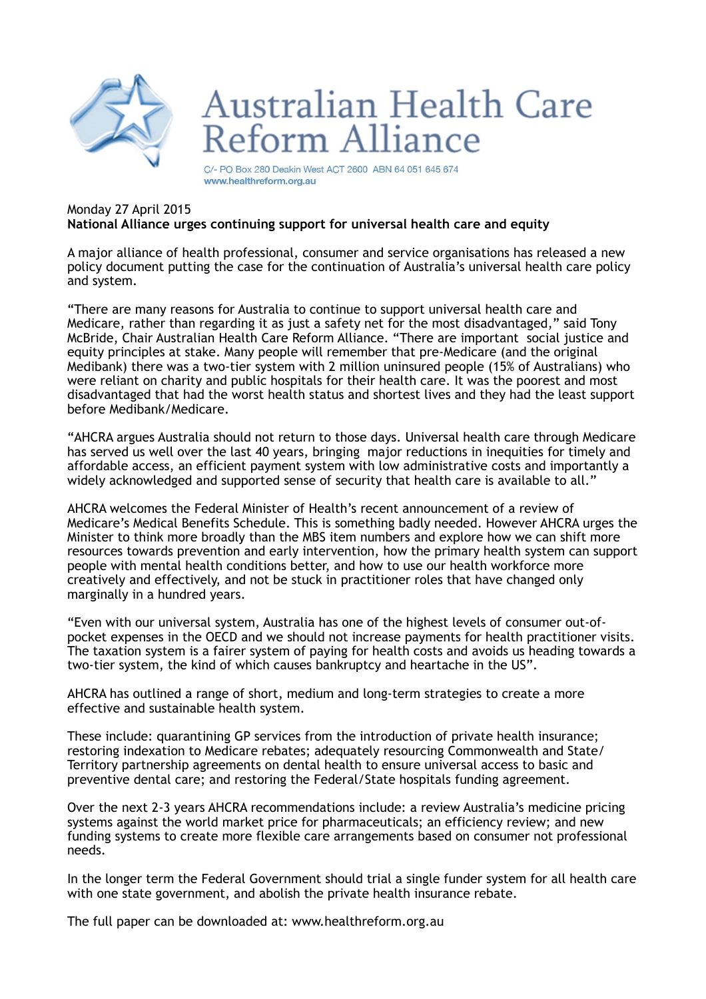

## **Australian Health Care** Reform Alliance

C/- PO Box 280 Deakin West ACT 2600 ABN 64 051 645 674 www.healthreform.org.au

## Monday 27 April 2015 **National Alliance urges continuing support for universal health care and equity**

A major alliance of health professional, consumer and service organisations has released a new policy document putting the case for the continuation of Australia's universal health care policy and system.

"There are many reasons for Australia to continue to support universal health care and Medicare, rather than regarding it as just a safety net for the most disadvantaged," said Tony McBride, Chair Australian Health Care Reform Alliance. "There are important social justice and equity principles at stake. Many people will remember that pre-Medicare (and the original Medibank) there was a two-tier system with 2 million uninsured people (15% of Australians) who were reliant on charity and public hospitals for their health care. It was the poorest and most disadvantaged that had the worst health status and shortest lives and they had the least support before Medibank/Medicare.

"AHCRA argues Australia should not return to those days. Universal health care through Medicare has served us well over the last 40 years, bringing major reductions in inequities for timely and affordable access, an efficient payment system with low administrative costs and importantly a widely acknowledged and supported sense of security that health care is available to all."

AHCRA welcomes the Federal Minister of Health's recent announcement of a review of Medicare's Medical Benefits Schedule. This is something badly needed. However AHCRA urges the Minister to think more broadly than the MBS item numbers and explore how we can shift more resources towards prevention and early intervention, how the primary health system can support people with mental health conditions better, and how to use our health workforce more creatively and effectively, and not be stuck in practitioner roles that have changed only marginally in a hundred years.

"Even with our universal system, Australia has one of the highest levels of consumer out-ofpocket expenses in the OECD and we should not increase payments for health practitioner visits. The taxation system is a fairer system of paying for health costs and avoids us heading towards a two-tier system, the kind of which causes bankruptcy and heartache in the US".

AHCRA has outlined a range of short, medium and long-term strategies to create a more effective and sustainable health system.

These include: quarantining GP services from the introduction of private health insurance; restoring indexation to Medicare rebates; adequately resourcing Commonwealth and State/ Territory partnership agreements on dental health to ensure universal access to basic and preventive dental care; and restoring the Federal/State hospitals funding agreement.

Over the next 2-3 years AHCRA recommendations include: a review Australia's medicine pricing systems against the world market price for pharmaceuticals; an efficiency review; and new funding systems to create more flexible care arrangements based on consumer not professional needs.

In the longer term the Federal Government should trial a single funder system for all health care with one state government, and abolish the private health insurance rebate.

The full paper can be downloaded at: www.healthreform.org.au